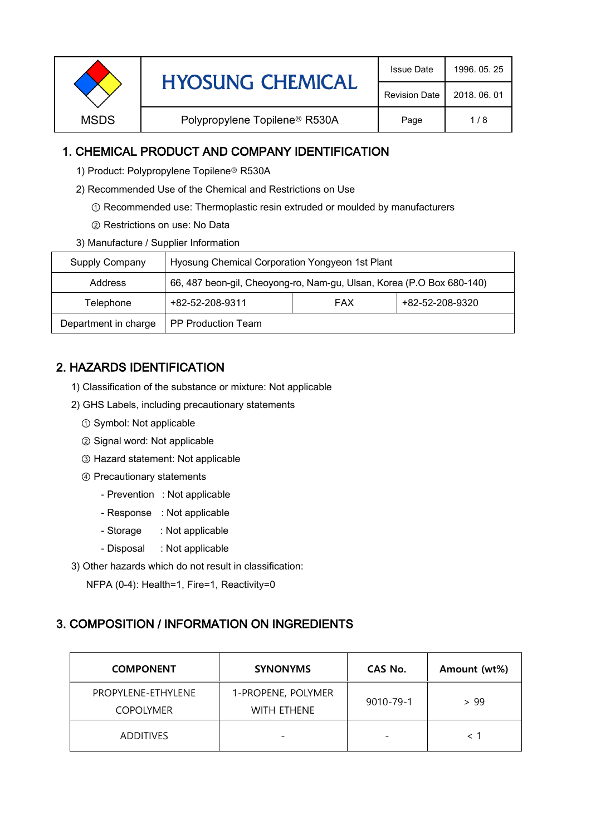| <b>Revision Date</b> |             | <b>HYOSUNG CHEMICAL</b>                   | <b>Issue Date</b> | 1996, 05, 25 |
|----------------------|-------------|-------------------------------------------|-------------------|--------------|
|                      |             |                                           | 2018, 06, 01      |              |
|                      | <b>MSDS</b> | Polypropylene Topilene <sup>®</sup> R530A | Page              | 1/8          |

## 1. CHEMICAL PRODUCT AND COMPANY IDENTIFICATION

- 1) Product: Polypropylene Topilene<sup>®</sup> R530A
- 2) Recommended Use of the Chemical and Restrictions on Use
	- ① Recommended use: Thermoplastic resin extruded or moulded by manufacturers
	- ② Restrictions on use: No Data
- 3) Manufacture / Supplier Information

| Supply Company       | Hyosung Chemical Corporation Yongyeon 1st Plant                       |            |                 |  |
|----------------------|-----------------------------------------------------------------------|------------|-----------------|--|
| Address              | 66, 487 beon-gil, Cheoyong-ro, Nam-gu, Ulsan, Korea (P.O Box 680-140) |            |                 |  |
| Telephone            | +82-52-208-9311                                                       | <b>FAX</b> | +82-52-208-9320 |  |
| Department in charge | <b>PP Production Team</b>                                             |            |                 |  |

# 2. HAZARDS IDENTIFICATION

- 1) Classification of the substance or mixture: Not applicable
- 2) GHS Labels, including precautionary statements
	- ① Symbol: Not applicable
	- ② Signal word: Not applicable
	- ③ Hazard statement: Not applicable
	- ④ Precautionary statements
		- Prevention : Not applicable
		- Response : Not applicable
		- Storage : Not applicable
		- Disposal : Not applicable
- 3) Other hazards which do not result in classification:

NFPA (0-4): Health=1, Fire=1, Reactivity=0

### 3. COMPOSITION / INFORMATION ON INGREDIENTS

| <b>COMPONENT</b>                       | <b>SYNONYMS</b>                   | CAS No.   | Amount (wt%) |
|----------------------------------------|-----------------------------------|-----------|--------------|
| PROPYLENE-ETHYLENE<br><b>COPOLYMER</b> | 1-PROPENE, POLYMER<br>WITH ETHENE | 9010-79-1 | > 99         |
| <b>ADDITIVES</b>                       |                                   |           |              |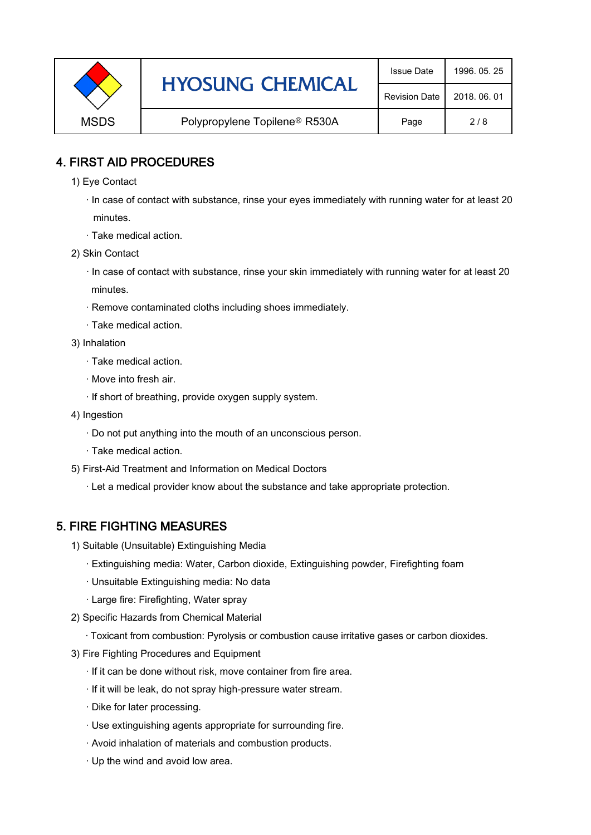|             | <b>HYOSUNG CHEMICAL</b>                   | <b>Issue Date</b>    | 1996, 05, 25 |
|-------------|-------------------------------------------|----------------------|--------------|
|             |                                           | <b>Revision Date</b> | 2018, 06, 01 |
| <b>MSDS</b> | Polypropylene Topilene <sup>®</sup> R530A | Page                 | 2/8          |

## 4. FIRST AID PROCEDURES

1) Eye Contact

 · In case of contact with substance, rinse your eyes immediately with running water for at least 20 minutes.

- · Take medical action.
- 2) Skin Contact
	- · In case of contact with substance, rinse your skin immediately with running water for at least 20 minutes.
	- · Remove contaminated cloths including shoes immediately.
	- · Take medical action.
- 3) Inhalation
	- · Take medical action.
	- · Move into fresh air.
	- · If short of breathing, provide oxygen supply system.
- 4) Ingestion
	- · Do not put anything into the mouth of an unconscious person.
	- · Take medical action.
- 5) First-Aid Treatment and Information on Medical Doctors
	- · Let a medical provider know about the substance and take appropriate protection.

### 5. FIRE FIGHTING MEASURES

- 1) Suitable (Unsuitable) Extinguishing Media
	- · Extinguishing media: Water, Carbon dioxide, Extinguishing powder, Firefighting foam
	- · Unsuitable Extinguishing media: No data
	- · Large fire: Firefighting, Water spray
- 2) Specific Hazards from Chemical Material
	- · Toxicant from combustion: Pyrolysis or combustion cause irritative gases or carbon dioxides.
- 3) Fire Fighting Procedures and Equipment
	- · If it can be done without risk, move container from fire area.
	- · If it will be leak, do not spray high-pressure water stream.
	- · Dike for later processing.
	- · Use extinguishing agents appropriate for surrounding fire.
	- · Avoid inhalation of materials and combustion products.
	- · Up the wind and avoid low area.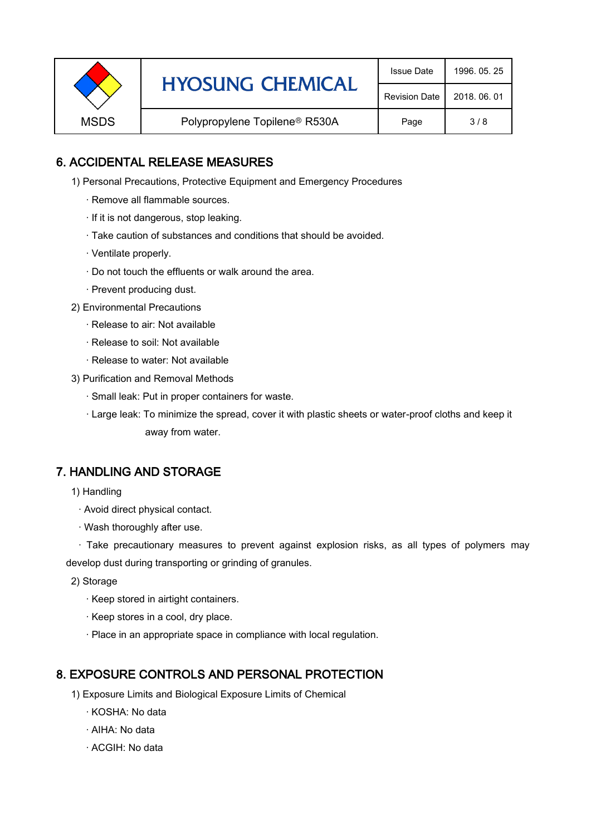|             | <b>HYOSUNG CHEMICAL</b>                   | <b>Issue Date</b> | 1996, 05, 25 |
|-------------|-------------------------------------------|-------------------|--------------|
|             | <b>Revision Date</b>                      | 2018, 06, 01      |              |
| <b>MSDS</b> | Polypropylene Topilene <sup>®</sup> R530A | Page              | 3/8          |

# 6. ACCIDENTAL RELEASE MEASURES

- 1) Personal Precautions, Protective Equipment and Emergency Procedures
	- · Remove all flammable sources.
	- · If it is not dangerous, stop leaking.
	- · Take caution of substances and conditions that should be avoided.
	- · Ventilate properly.
	- · Do not touch the effluents or walk around the area.
	- · Prevent producing dust.
- 2) Environmental Precautions
	- · Release to air: Not available
	- · Release to soil: Not available
	- · Release to water: Not available
- 3) Purification and Removal Methods
	- · Small leak: Put in proper containers for waste.
	- ,· Large leak: To minimize the spread, cover it with plastic sheets or water-proof cloths and keep it away from water.

### 7. HANDLING AND STORAGE

- 1) Handling
	- · Avoid direct physical contact.
	- · Wash thoroughly after use.

· Take precautionary measures to prevent against explosion risks, as all types of polymers may develop dust during transporting or grinding of granules.

- 2) Storage
	- · Keep stored in airtight containers.
	- · Keep stores in a cool, dry place.
	- · Place in an appropriate space in compliance with local regulation.

### 8. EXPOSURE CONTROLS AND PERSONAL PROTECTION

- 1) Exposure Limits and Biological Exposure Limits of Chemical
	- · KOSHA: No data
	- · AIHA: No data
	- · ACGIH: No data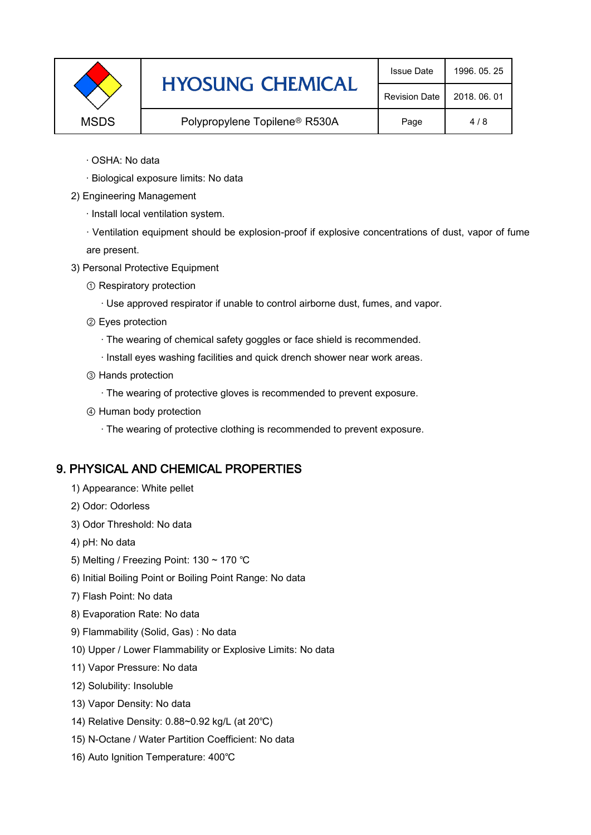|             | <b>HYOSUNG CHEMICAL</b>                   | <b>Issue Date</b>    | 1996, 05, 25 |
|-------------|-------------------------------------------|----------------------|--------------|
|             |                                           | <b>Revision Date</b> | 2018, 06, 01 |
| <b>MSDS</b> | Polypropylene Topilene <sup>®</sup> R530A | Page                 | 4/8          |

- · OSHA: No data
- · Biological exposure limits: No data
- 2) Engineering Management
	- · Install local ventilation system.

· Ventilation equipment should be explosion-proof if explosive concentrations of dust, vapor of fume are present.

- 3) Personal Protective Equipment
	- ① Respiratory protection
		- · Use approved respirator if unable to control airborne dust, fumes, and vapor.
	- ② Eyes protection
		- · The wearing of chemical safety goggles or face shield is recommended.
		- · Install eyes washing facilities and quick drench shower near work areas.
	- ③ Hands protection
		- · The wearing of protective gloves is recommended to prevent exposure.
	- ④ Human body protection
		- · The wearing of protective clothing is recommended to prevent exposure.

#### 9. PHYSICAL AND CHEMICAL PROPERTIES

- 1) Appearance: White pellet
- 2) Odor: Odorless
- 3) Odor Threshold: No data
- 4) pH: No data
- 5) Melting / Freezing Point: 130 ~ 170 ℃
- 6) Initial Boiling Point or Boiling Point Range: No data
- 7) Flash Point: No data
- 8) Evaporation Rate: No data
- 9) Flammability (Solid, Gas) : No data
- 10) Upper / Lower Flammability or Explosive Limits: No data
- 11) Vapor Pressure: No data
- 12) Solubility: Insoluble
- 13) Vapor Density: No data
- 14) Relative Density: 0.88~0.92 kg/L (at 20℃)
- 15) N-Octane / Water Partition Coefficient: No data
- 16) Auto Ignition Temperature: 400℃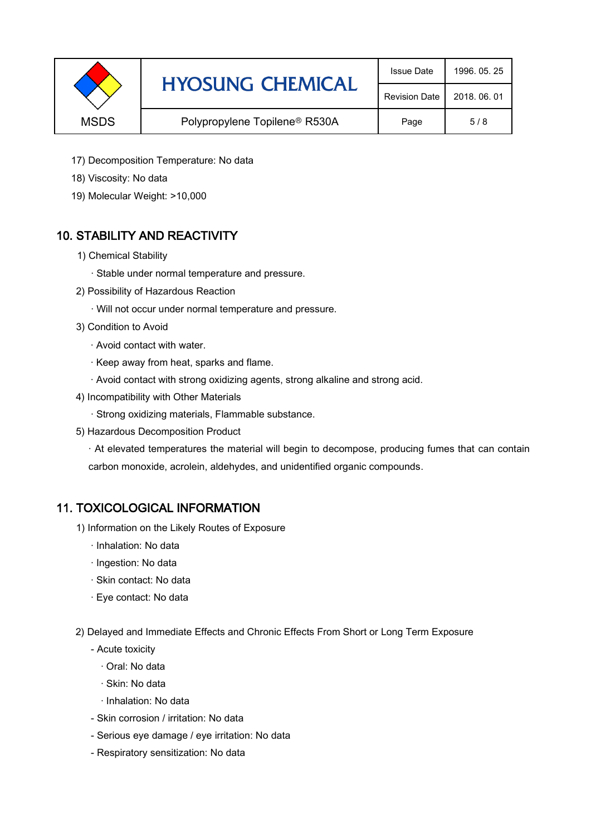|             | <b>HYOSUNG CHEMICAL</b>                   | <b>Issue Date</b>    | 1996, 05, 25 |
|-------------|-------------------------------------------|----------------------|--------------|
|             |                                           | <b>Revision Date</b> | 2018, 06, 01 |
| <b>MSDS</b> | Polypropylene Topilene <sup>®</sup> R530A | Page                 | 5/8          |

- 17) Decomposition Temperature: No data
- 18) Viscosity: No data
- 19) Molecular Weight: >10,000

# 10. STABILITY AND REACTIVITY

- 1) Chemical Stability
	- · Stable under normal temperature and pressure.
- 2) Possibility of Hazardous Reaction
	- · Will not occur under normal temperature and pressure.
- 3) Condition to Avoid
	- · Avoid contact with water.
	- · Keep away from heat, sparks and flame.
	- · Avoid contact with strong oxidizing agents, strong alkaline and strong acid.
- 4) Incompatibility with Other Materials
	- · Strong oxidizing materials, Flammable substance.
- 5) Hazardous Decomposition Product

· At elevated temperatures the material will begin to decompose, producing fumes that can contain carbon monoxide, acrolein, aldehydes, and unidentified organic compounds.

### 11. TOXICOLOGICAL INFORMATION

- 1) Information on the Likely Routes of Exposure
	- · Inhalation: No data
	- · Ingestion: No data
	- · Skin contact: No data
	- · Eye contact: No data
- 2) Delayed and Immediate Effects and Chronic Effects From Short or Long Term Exposure
	- Acute toxicity
		- · Oral: No data
		- · Skin: No data
		- · Inhalation: No data
	- Skin corrosion / irritation: No data
	- Serious eye damage / eye irritation: No data
	- Respiratory sensitization: No data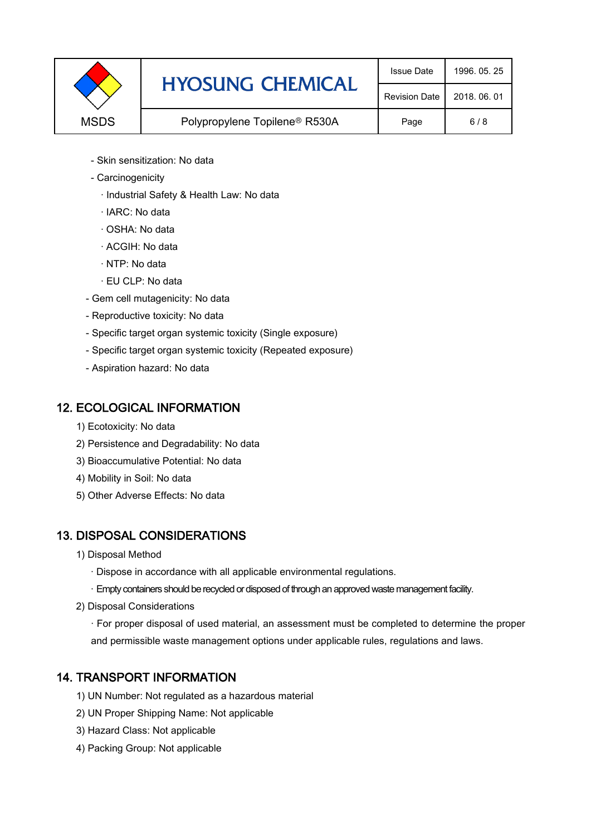|             | <b>HYOSUNG CHEMICAL</b>                   | <b>Issue Date</b>    | 1996, 05, 25 |
|-------------|-------------------------------------------|----------------------|--------------|
|             |                                           | <b>Revision Date</b> | 2018, 06, 01 |
| <b>MSDS</b> | Polypropylene Topilene <sup>®</sup> R530A | Page                 | 6/8          |

- Skin sensitization: No data
- Carcinogenicity
	- · Industrial Safety & Health Law: No data
	- · IARC: No data
	- · OSHA: No data
	- · ACGIH: No data
	- · NTP: No data
	- · EU CLP: No data
- Gem cell mutagenicity: No data
- Reproductive toxicity: No data
- Specific target organ systemic toxicity (Single exposure)
- Specific target organ systemic toxicity (Repeated exposure)
- Aspiration hazard: No data

### 12. ECOLOGICAL INFORMATION

- 1) Ecotoxicity: No data
- 2) Persistence and Degradability: No data
- 3) Bioaccumulative Potential: No data
- 4) Mobility in Soil: No data
- 5) Other Adverse Effects: No data

# 13. DISPOSAL CONSIDERATIONS

- 1) Disposal Method
	- · Dispose in accordance with all applicable environmental regulations.
	- · Empty containers should be recycled or disposed of through an approved waste management facility.
- 2) Disposal Considerations
	- · For proper disposal of used material, an assessment must be completed to determine the proper and permissible waste management options under applicable rules, regulations and laws.

# 14. TRANSPORT INFORMATION

- 1) UN Number: Not regulated as a hazardous material
- 2) UN Proper Shipping Name: Not applicable
- 3) Hazard Class: Not applicable
- 4) Packing Group: Not applicable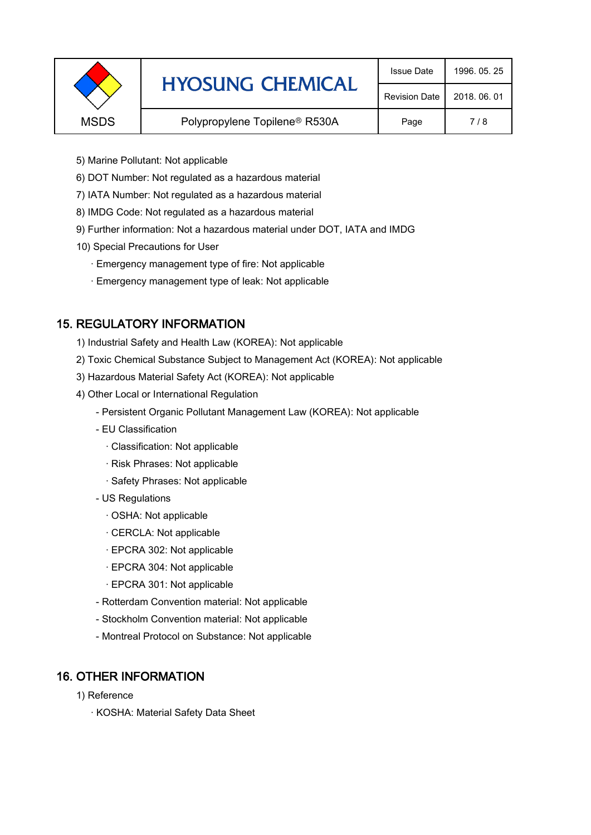|             | <b>HYOSUNG CHEMICAL</b>                   | <b>Issue Date</b>    | 1996, 05, 25 |
|-------------|-------------------------------------------|----------------------|--------------|
|             |                                           | <b>Revision Date</b> | 2018, 06, 01 |
| <b>MSDS</b> | Polypropylene Topilene <sup>®</sup> R530A | Page                 | 7/8          |
|             |                                           |                      |              |

- 5) Marine Pollutant: Not applicable
- 6) DOT Number: Not regulated as a hazardous material
- 7) IATA Number: Not regulated as a hazardous material
- 8) IMDG Code: Not regulated as a hazardous material
- 9) Further information: Not a hazardous material under DOT, IATA and IMDG
- 10) Special Precautions for User
	- · Emergency management type of fire: Not applicable
	- · Emergency management type of leak: Not applicable

# 15. REGULATORY INFORMATION

- 1) Industrial Safety and Health Law (KOREA): Not applicable
- 2) Toxic Chemical Substance Subject to Management Act (KOREA): Not applicable
- 3) Hazardous Material Safety Act (KOREA): Not applicable
- 4) Other Local or International Regulation
	- Persistent Organic Pollutant Management Law (KOREA): Not applicable
	- EU Classification
		- · Classification: Not applicable
		- · Risk Phrases: Not applicable
		- · Safety Phrases: Not applicable
	- US Regulations
		- · OSHA: Not applicable
		- · CERCLA: Not applicable
		- · EPCRA 302: Not applicable
		- · EPCRA 304: Not applicable
		- · EPCRA 301: Not applicable
	- Rotterdam Convention material: Not applicable
	- Stockholm Convention material: Not applicable
	- Montreal Protocol on Substance: Not applicable

# 16. OTHER INFORMATION

- 1) Reference
	- · KOSHA: Material Safety Data Sheet